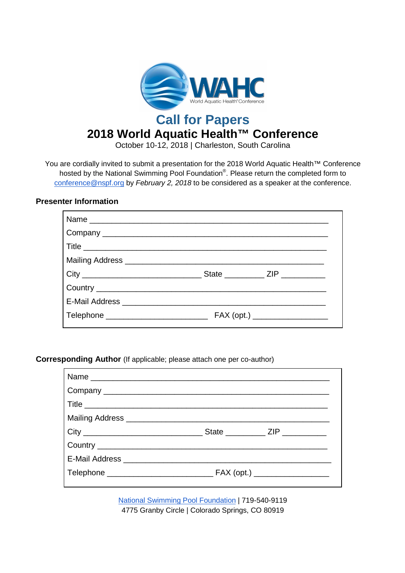

**Call for Papers**

## **2018 World Aquatic Health™ Conference**

October 10-12, 2018 | Charleston, South Carolina

You are cordially invited to submit a presentation for the 2018 World Aquatic Health™ Conference hosted by the National Swimming Pool Foundation®. Please return the completed form to conference@nspf.org by February 2, 2018 to be considered as a speaker at the conference.

## **Presenter Information**

**Corresponding Author** (If applicable; please attach one per co-author)

National Swimming Pool Foundation | 719-540-9119 4775 Granby Circle | Colorado Springs, CO 80919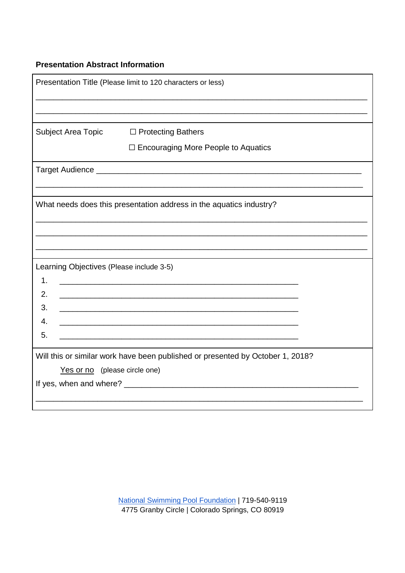## **Presentation Abstract Information**

| Presentation Title (Please limit to 120 characters or less)                    |                                                                                                                         |  |  |  |
|--------------------------------------------------------------------------------|-------------------------------------------------------------------------------------------------------------------------|--|--|--|
|                                                                                |                                                                                                                         |  |  |  |
| Subject Area Topic                                                             | □ Protecting Bathers                                                                                                    |  |  |  |
|                                                                                | □ Encouraging More People to Aquatics                                                                                   |  |  |  |
|                                                                                |                                                                                                                         |  |  |  |
|                                                                                |                                                                                                                         |  |  |  |
| What needs does this presentation address in the aquatics industry?            |                                                                                                                         |  |  |  |
|                                                                                |                                                                                                                         |  |  |  |
|                                                                                |                                                                                                                         |  |  |  |
| Learning Objectives (Please include 3-5)                                       |                                                                                                                         |  |  |  |
| $\mathbf 1$ .                                                                  |                                                                                                                         |  |  |  |
| 2.                                                                             | <u> 1989 - Johann John Stoff, deutscher Stoff aus der Stoff aus der Stoff aus der Stoff aus der Stoff aus der Stoff</u> |  |  |  |
| 3.                                                                             |                                                                                                                         |  |  |  |
| 4.                                                                             |                                                                                                                         |  |  |  |
| 5.                                                                             |                                                                                                                         |  |  |  |
| Will this or similar work have been published or presented by October 1, 2018? |                                                                                                                         |  |  |  |
| Yes or no (please circle one)                                                  |                                                                                                                         |  |  |  |
|                                                                                |                                                                                                                         |  |  |  |
|                                                                                |                                                                                                                         |  |  |  |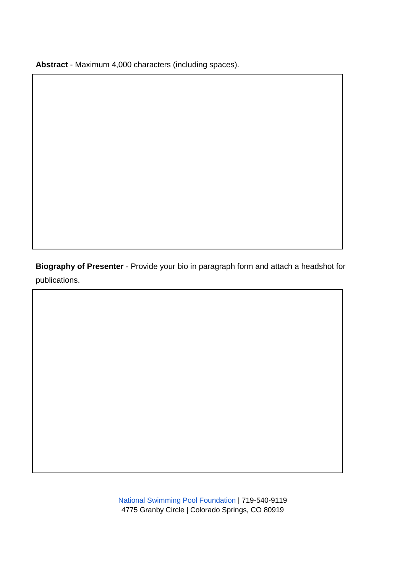**Abstract** - Maximum 4,000 characters (including spaces).

**Biography of Presenter** - Provide your bio in paragraph form and attach a headshot for publications.